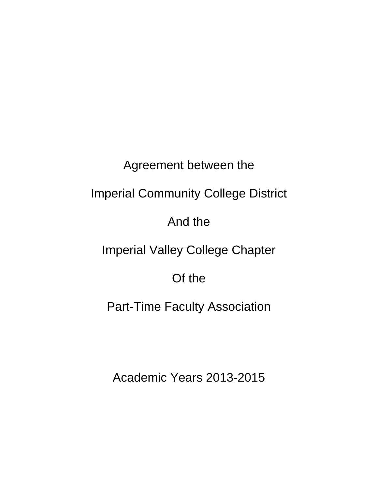# Agreement between the

# Imperial Community College District

## And the

## Imperial Valley College Chapter

### Of the

### Part-Time Faculty Association

### Academic Years 2013-2015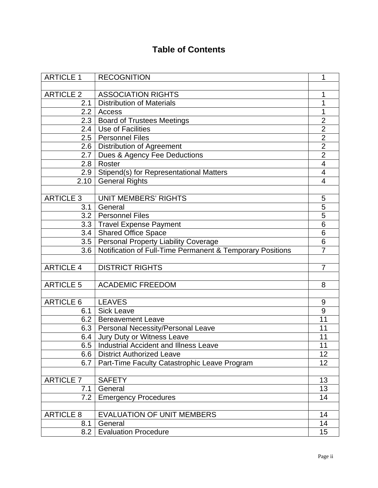### **Table of Contents**

| <b>ARTICLE 1</b> | <b>RECOGNITION</b>                                        | 1                       |
|------------------|-----------------------------------------------------------|-------------------------|
|                  |                                                           |                         |
| <b>ARTICLE 2</b> | <b>ASSOCIATION RIGHTS</b>                                 | 1                       |
| 2.1              | <b>Distribution of Materials</b>                          | 1                       |
| 2.2              | Access                                                    | 1                       |
| 2.3              | <b>Board of Trustees Meetings</b>                         | $\overline{2}$          |
| 2.4              | <b>Use of Facilities</b>                                  | $\overline{2}$          |
| 2.5              | <b>Personnel Files</b>                                    | $\overline{2}$          |
| 2.6              | <b>Distribution of Agreement</b>                          | $\overline{2}$          |
| 2.7              | Dues & Agency Fee Deductions                              | $\overline{2}$          |
| 2.8              | Roster                                                    | $\overline{\mathbf{4}}$ |
|                  | 2.9   Stipend(s) for Representational Matters             | 4                       |
| 2.10             | <b>General Rights</b>                                     | $\overline{4}$          |
| <b>ARTICLE 3</b> | <b>UNIT MEMBERS' RIGHTS</b>                               | 5                       |
| 3.1              | General                                                   |                         |
| 3.2              |                                                           | 5                       |
|                  | <b>Personnel Files</b>                                    | 5                       |
|                  | 3.3 Travel Expense Payment                                | 6                       |
| 3.4              | <b>Shared Office Space</b>                                | 6                       |
|                  | 3.5   Personal Property Liability Coverage                | 6                       |
| 3.6              | Notification of Full-Time Permanent & Temporary Positions | 7                       |
|                  |                                                           |                         |
| <b>ARTICLE 4</b> | <b>DISTRICT RIGHTS</b>                                    | $\overline{7}$          |
|                  |                                                           |                         |
| <b>ARTICLE 5</b> | <b>ACADEMIC FREEDOM</b>                                   | 8                       |
|                  |                                                           |                         |
| <b>ARTICLE 6</b> | <b>LEAVES</b>                                             | 9                       |
| 6.1              | <b>Sick Leave</b>                                         | 9                       |
| 6.2              | <b>Bereavement Leave</b>                                  | 11                      |
|                  | 6.3   Personal Necessity/Personal Leave                   | 11                      |
| 6.4              | Jury Duty or Witness Leave                                | 11                      |
| 6.5              | <b>Industrial Accident and Illness Leave</b>              | 11                      |
| 6.6              | <b>District Authorized Leave</b>                          | 12                      |
| 6.7              | Part-Time Faculty Catastrophic Leave Program              | 12                      |
| <b>ARTICLE 7</b> | <b>SAFETY</b>                                             | 13                      |
| 7.1              | General                                                   | 13                      |
| 7.2              | <b>Emergency Procedures</b>                               | 14                      |
|                  |                                                           |                         |
| <b>ARTICLE 8</b> | <b>EVALUATION OF UNIT MEMBERS</b>                         | 14                      |
| 8.1              | General                                                   | 14                      |
| 8.2              | <b>Evaluation Procedure</b>                               | 15                      |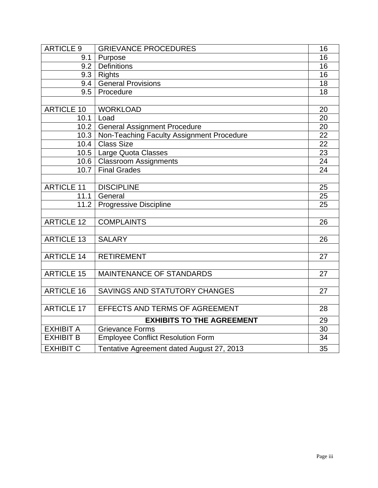| ARTICLE 9         | <b>GRIEVANCE PROCEDURES</b>               | 16 |
|-------------------|-------------------------------------------|----|
| 9.1               | Purpose                                   | 16 |
| 9.2               | <b>Definitions</b>                        | 16 |
| 9.3               | Rights                                    | 16 |
| 9.4               | <b>General Provisions</b>                 | 18 |
| 9.5               | Procedure                                 | 18 |
|                   |                                           |    |
| <b>ARTICLE 10</b> | <b>WORKLOAD</b>                           | 20 |
| 10.1              | Load                                      | 20 |
| 10.2              | <b>General Assignment Procedure</b>       | 20 |
| 10.3              | Non-Teaching Faculty Assignment Procedure | 22 |
| 10.4              | <b>Class Size</b>                         | 22 |
|                   | 10.5   Large Quota Classes                | 23 |
|                   | 10.6   Classroom Assignments              | 24 |
| 10.7              | <b>Final Grades</b>                       | 24 |
|                   |                                           |    |
| <b>ARTICLE 11</b> | <b>DISCIPLINE</b>                         | 25 |
| 11.1              | General                                   | 25 |
| 11.2              | <b>Progressive Discipline</b>             | 25 |
|                   |                                           |    |
| <b>ARTICLE 12</b> | <b>COMPLAINTS</b>                         | 26 |
|                   |                                           |    |
| <b>ARTICLE 13</b> | <b>SALARY</b>                             | 26 |
|                   |                                           |    |
| <b>ARTICLE 14</b> | <b>RETIREMENT</b>                         | 27 |
|                   |                                           |    |
| <b>ARTICLE 15</b> | MAINTENANCE OF STANDARDS                  | 27 |
|                   |                                           |    |
| <b>ARTICLE 16</b> | SAVINGS AND STATUTORY CHANGES             | 27 |
|                   |                                           |    |
| <b>ARTICLE 17</b> | EFFECTS AND TERMS OF AGREEMENT            | 28 |
|                   | <b>EXHIBITS TO THE AGREEMENT</b>          | 29 |
| <b>EXHIBIT A</b>  | <b>Grievance Forms</b>                    | 30 |
| <b>EXHIBIT B</b>  | <b>Employee Conflict Resolution Form</b>  | 34 |
| <b>EXHIBIT C</b>  | Tentative Agreement dated August 27, 2013 | 35 |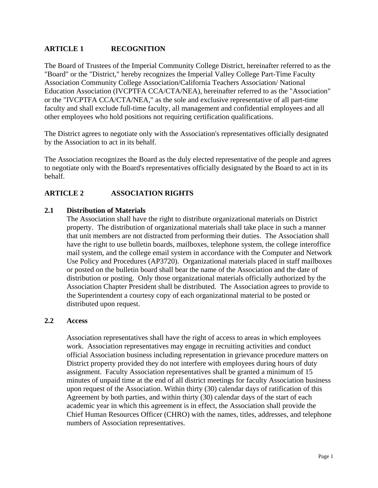#### **ARTICLE 1 RECOGNITION**

The Board of Trustees of the Imperial Community College District, hereinafter referred to as the "Board" or the "District," hereby recognizes the Imperial Valley College Part-Time Faculty Association Community College Association/California Teachers Association/ National Education Association (IVCPTFA CCA/CTA/NEA), hereinafter referred to as the "Association" or the "IVCPTFA CCA/CTA/NEA," as the sole and exclusive representative of all part-time faculty and shall exclude full-time faculty, all management and confidential employees and all other employees who hold positions not requiring certification qualifications.

The District agrees to negotiate only with the Association's representatives officially designated by the Association to act in its behalf.

The Association recognizes the Board as the duly elected representative of the people and agrees to negotiate only with the Board's representatives officially designated by the Board to act in its behalf.

#### **ARTICLE 2 ASSOCIATION RIGHTS**

#### **2.1 Distribution of Materials**

The Association shall have the right to distribute organizational materials on District property. The distribution of organizational materials shall take place in such a manner that unit members are not distracted from performing their duties. The Association shall have the right to use bulletin boards, mailboxes, telephone system, the college interoffice mail system, and the college email system in accordance with the Computer and Network Use Policy and Procedures (AP3720). Organizational materials placed in staff mailboxes or posted on the bulletin board shall bear the name of the Association and the date of distribution or posting. Only those organizational materials officially authorized by the Association Chapter President shall be distributed. The Association agrees to provide to the Superintendent a courtesy copy of each organizational material to be posted or distributed upon request.

#### **2.2 Access**

Association representatives shall have the right of access to areas in which employees work. Association representatives may engage in recruiting activities and conduct official Association business including representation in grievance procedure matters on District property provided they do not interfere with employees during hours of duty assignment. Faculty Association representatives shall be granted a minimum of 15 minutes of unpaid time at the end of all district meetings for faculty Association business upon request of the Association. Within thirty (30) calendar days of ratification of this Agreement by both parties, and within thirty (30) calendar days of the start of each academic year in which this agreement is in effect, the Association shall provide the Chief Human Resources Officer (CHRO) with the names, titles, addresses, and telephone numbers of Association representatives.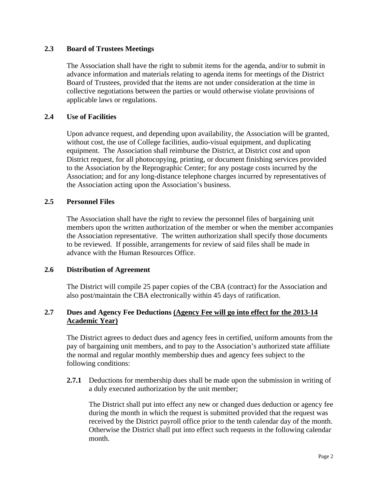#### **2.3 Board of Trustees Meetings**

The Association shall have the right to submit items for the agenda, and/or to submit in advance information and materials relating to agenda items for meetings of the District Board of Trustees, provided that the items are not under consideration at the time in collective negotiations between the parties or would otherwise violate provisions of applicable laws or regulations.

#### **2.4 Use of Facilities**

Upon advance request, and depending upon availability, the Association will be granted, without cost, the use of College facilities, audio-visual equipment, and duplicating equipment. The Association shall reimburse the District, at District cost and upon District request, for all photocopying, printing, or document finishing services provided to the Association by the Reprographic Center; for any postage costs incurred by the Association; and for any long-distance telephone charges incurred by representatives of the Association acting upon the Association's business.

#### **2.5 Personnel Files**

The Association shall have the right to review the personnel files of bargaining unit members upon the written authorization of the member or when the member accompanies the Association representative. The written authorization shall specify those documents to be reviewed. If possible, arrangements for review of said files shall be made in advance with the Human Resources Office.

#### **2.6 Distribution of Agreement**

The District will compile 25 paper copies of the CBA (contract) for the Association and also post/maintain the CBA electronically within 45 days of ratification.

#### **2.7 Dues and Agency Fee Deductions (Agency Fee will go into effect for the 2013-14 Academic Year)**

The District agrees to deduct dues and agency fees in certified, uniform amounts from the pay of bargaining unit members, and to pay to the Association's authorized state affiliate the normal and regular monthly membership dues and agency fees subject to the following conditions:

**2.7.1** Deductions for membership dues shall be made upon the submission in writing of a duly executed authorization by the unit member;

The District shall put into effect any new or changed dues deduction or agency fee during the month in which the request is submitted provided that the request was received by the District payroll office prior to the tenth calendar day of the month. Otherwise the District shall put into effect such requests in the following calendar month.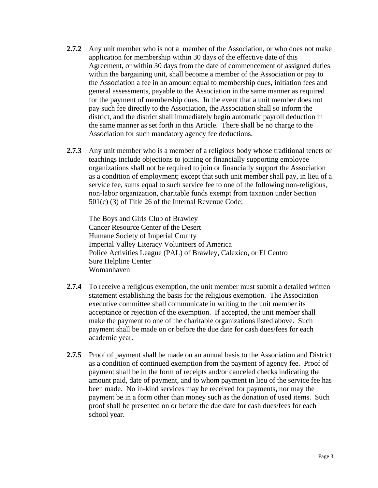- **2.7.2** Any unit member who is not a member of the Association, or who does not make application for membership within 30 days of the effective date of this Agreement, or within 30 days from the date of commencement of assigned duties within the bargaining unit, shall become a member of the Association or pay to the Association a fee in an amount equal to membership dues, initiation fees and general assessments, payable to the Association in the same manner as required for the payment of membership dues. In the event that a unit member does not pay such fee directly to the Association, the Association shall so inform the district, and the district shall immediately begin automatic payroll deduction in the same manner as set forth in this Article. There shall be no charge to the Association for such mandatory agency fee deductions.
- **2.7.3** Any unit member who is a member of a religious body whose traditional tenets or teachings include objections to joining or financially supporting employee organizations shall not be required to join or financially support the Association as a condition of employment; except that such unit member shall pay, in lieu of a service fee, sums equal to such service fee to one of the following non-religious, non-labor organization, charitable funds exempt from taxation under Section 501(c) (3) of Title 26 of the Internal Revenue Code:

The Boys and Girls Club of Brawley Cancer Resource Center of the Desert Humane Society of Imperial County Imperial Valley Literacy Volunteers of America Police Activities League (PAL) of Brawley, Calexico, or El Centro Sure Helpline Center Womanhaven

- **2.7.4** To receive a religious exemption, the unit member must submit a detailed written statement establishing the basis for the religious exemption. The Association executive committee shall communicate in writing to the unit member its acceptance or rejection of the exemption. If accepted, the unit member shall make the payment to one of the charitable organizations listed above. Such payment shall be made on or before the due date for cash dues/fees for each academic year.
- **2.7.5** Proof of payment shall be made on an annual basis to the Association and District as a condition of continued exemption from the payment of agency fee. Proof of payment shall be in the form of receipts and/or canceled checks indicating the amount paid, date of payment, and to whom payment in lieu of the service fee has been made. No in-kind services may be received for payments, nor may the payment be in a form other than money such as the donation of used items. Such proof shall be presented on or before the due date for cash dues/fees for each school year.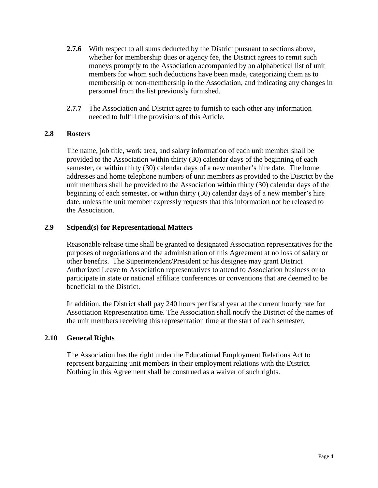- **2.7.6** With respect to all sums deducted by the District pursuant to sections above, whether for membership dues or agency fee, the District agrees to remit such moneys promptly to the Association accompanied by an alphabetical list of unit members for whom such deductions have been made, categorizing them as to membership or non-membership in the Association, and indicating any changes in personnel from the list previously furnished.
- **2.7.7** The Association and District agree to furnish to each other any information needed to fulfill the provisions of this Article.

#### **2.8 Rosters**

The name, job title, work area, and salary information of each unit member shall be provided to the Association within thirty (30) calendar days of the beginning of each semester, or within thirty (30) calendar days of a new member's hire date. The home addresses and home telephone numbers of unit members as provided to the District by the unit members shall be provided to the Association within thirty (30) calendar days of the beginning of each semester, or within thirty (30) calendar days of a new member's hire date, unless the unit member expressly requests that this information not be released to the Association.

#### **2.9 Stipend(s) for Representational Matters**

Reasonable release time shall be granted to designated Association representatives for the purposes of negotiations and the administration of this Agreement at no loss of salary or other benefits. The Superintendent/President or his designee may grant District Authorized Leave to Association representatives to attend to Association business or to participate in state or national affiliate conferences or conventions that are deemed to be beneficial to the District.

In addition, the District shall pay 240 hours per fiscal year at the current hourly rate for Association Representation time. The Association shall notify the District of the names of the unit members receiving this representation time at the start of each semester.

#### **2.10 General Rights**

The Association has the right under the Educational Employment Relations Act to represent bargaining unit members in their employment relations with the District. Nothing in this Agreement shall be construed as a waiver of such rights.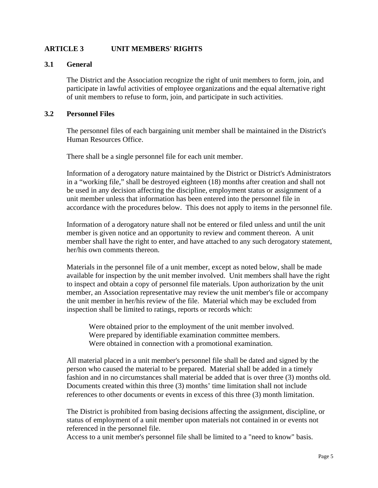#### **ARTICLE 3 UNIT MEMBERS' RIGHTS**

#### **3.1 General**

The District and the Association recognize the right of unit members to form, join, and participate in lawful activities of employee organizations and the equal alternative right of unit members to refuse to form, join, and participate in such activities.

#### **3.2 Personnel Files**

The personnel files of each bargaining unit member shall be maintained in the District's Human Resources Office.

There shall be a single personnel file for each unit member.

Information of a derogatory nature maintained by the District or District's Administrators in a "working file," shall be destroyed eighteen (18) months after creation and shall not be used in any decision affecting the discipline, employment status or assignment of a unit member unless that information has been entered into the personnel file in accordance with the procedures below. This does not apply to items in the personnel file.

Information of a derogatory nature shall not be entered or filed unless and until the unit member is given notice and an opportunity to review and comment thereon. A unit member shall have the right to enter, and have attached to any such derogatory statement, her/his own comments thereon.

Materials in the personnel file of a unit member, except as noted below, shall be made available for inspection by the unit member involved. Unit members shall have the right to inspect and obtain a copy of personnel file materials. Upon authorization by the unit member, an Association representative may review the unit member's file or accompany the unit member in her/his review of the file. Material which may be excluded from inspection shall be limited to ratings, reports or records which:

Were obtained prior to the employment of the unit member involved. Were prepared by identifiable examination committee members. Were obtained in connection with a promotional examination.

All material placed in a unit member's personnel file shall be dated and signed by the person who caused the material to be prepared. Material shall be added in a timely fashion and in no circumstances shall material be added that is over three (3) months old. Documents created within this three (3) months' time limitation shall not include references to other documents or events in excess of this three (3) month limitation.

The District is prohibited from basing decisions affecting the assignment, discipline, or status of employment of a unit member upon materials not contained in or events not referenced in the personnel file.

Access to a unit member's personnel file shall be limited to a "need to know" basis.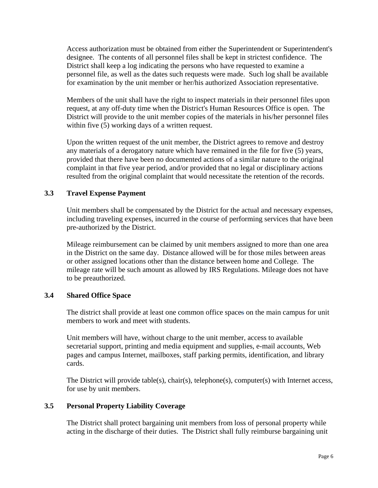Access authorization must be obtained from either the Superintendent or Superintendent's designee. The contents of all personnel files shall be kept in strictest confidence. The District shall keep a log indicating the persons who have requested to examine a personnel file, as well as the dates such requests were made. Such log shall be available for examination by the unit member or her/his authorized Association representative.

Members of the unit shall have the right to inspect materials in their personnel files upon request, at any off-duty time when the District's Human Resources Office is open. The District will provide to the unit member copies of the materials in his/her personnel files within five (5) working days of a written request.

Upon the written request of the unit member, the District agrees to remove and destroy any materials of a derogatory nature which have remained in the file for five (5) years, provided that there have been no documented actions of a similar nature to the original complaint in that five year period, and/or provided that no legal or disciplinary actions resulted from the original complaint that would necessitate the retention of the records.

#### **3.3 Travel Expense Payment**

Unit members shall be compensated by the District for the actual and necessary expenses, including traveling expenses, incurred in the course of performing services that have been pre-authorized by the District.

Mileage reimbursement can be claimed by unit members assigned to more than one area in the District on the same day. Distance allowed will be for those miles between areas or other assigned locations other than the distance between home and College. The mileage rate will be such amount as allowed by IRS Regulations. Mileage does not have to be preauthorized.

#### **3.4 Shared Office Space**

The district shall provide at least one common office spaces on the main campus for unit members to work and meet with students.

Unit members will have, without charge to the unit member, access to available secretarial support, printing and media equipment and supplies, e-mail accounts, Web pages and campus Internet, mailboxes, staff parking permits, identification, and library cards.

The District will provide table(s), chair(s), telephone(s), computer(s) with Internet access, for use by unit members.

#### **3.5 Personal Property Liability Coverage**

The District shall protect bargaining unit members from loss of personal property while acting in the discharge of their duties. The District shall fully reimburse bargaining unit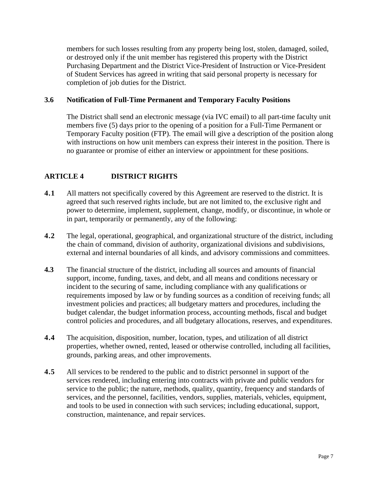members for such losses resulting from any property being lost, stolen, damaged, soiled, or destroyed only if the unit member has registered this property with the District Purchasing Department and the District Vice-President of Instruction or Vice-President of Student Services has agreed in writing that said personal property is necessary for completion of job duties for the District.

#### **3.6 Notification of Full-Time Permanent and Temporary Faculty Positions**

The District shall send an electronic message (via IVC email) to all part-time faculty unit members five (5) days prior to the opening of a position for a Full-Time Permanent or Temporary Faculty position (FTP). The email will give a description of the position along with instructions on how unit members can express their interest in the position. There is no guarantee or promise of either an interview or appointment for these positions.

#### **ARTICLE 4 DISTRICT RIGHTS**

- **4.1** All matters not specifically covered by this Agreement are reserved to the district. It is agreed that such reserved rights include, but are not limited to, the exclusive right and power to determine, implement, supplement, change, modify, or discontinue, in whole or in part, temporarily or permanently, any of the following:
- **4.2** The legal, operational, geographical, and organizational structure of the district, including the chain of command, division of authority, organizational divisions and subdivisions, external and internal boundaries of all kinds, and advisory commissions and committees.
- **4.3** The financial structure of the district, including all sources and amounts of financial support, income, funding, taxes, and debt, and all means and conditions necessary or incident to the securing of same, including compliance with any qualifications or requirements imposed by law or by funding sources as a condition of receiving funds; all investment policies and practices; all budgetary matters and procedures, including the budget calendar, the budget information process, accounting methods, fiscal and budget control policies and procedures, and all budgetary allocations, reserves, and expenditures.
- **4.4** The acquisition, disposition, number, location, types, and utilization of all district properties, whether owned, rented, leased or otherwise controlled, including all facilities, grounds, parking areas, and other improvements.
- **4.5** All services to be rendered to the public and to district personnel in support of the services rendered, including entering into contracts with private and public vendors for service to the public; the nature, methods, quality, quantity, frequency and standards of services, and the personnel, facilities, vendors, supplies, materials, vehicles, equipment, and tools to be used in connection with such services; including educational, support, construction, maintenance, and repair services.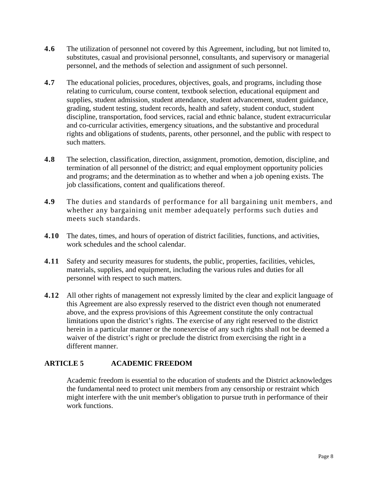- **4.6** The utilization of personnel not covered by this Agreement, including, but not limited to, substitutes, casual and provisional personnel, consultants, and supervisory or managerial personnel, and the methods of selection and assignment of such personnel.
- **4.7** The educational policies, procedures, objectives, goals, and programs, including those relating to curriculum, course content, textbook selection, educational equipment and supplies, student admission, student attendance, student advancement, student guidance, grading, student testing, student records, health and safety, student conduct, student discipline, transportation, food services, racial and ethnic balance, student extracurricular and co-curricular activities, emergency situations, and the substantive and procedural rights and obligations of students, parents, other personnel, and the public with respect to such matters.
- **4.8** The selection, classification, direction, assignment, promotion, demotion, discipline, and termination of all personnel of the district; and equal employment opportunity policies and programs; and the determination as to whether and when a job opening exists. The job classifications, content and qualifications thereof.
- **4.9** The duties and standards of performance for all bargaining unit members, and whether any bargaining unit member adequately performs such duties and meets such standards.
- **4.10** The dates, times, and hours of operation of district facilities, functions, and activities, work schedules and the school calendar.
- **4.11** Safety and security measures for students, the public, properties, facilities, vehicles, materials, supplies, and equipment, including the various rules and duties for all personnel with respect to such matters.
- **4.12** All other rights of management not expressly limited by the clear and explicit language of this Agreement are also expressly reserved to the district even though not enumerated above, and the express provisions of this Agreement constitute the only contractual limitations upon the district's rights. The exercise of any right reserved to the district herein in a particular manner or the nonexercise of any such rights shall not be deemed a waiver of the district's right or preclude the district from exercising the right in a different manner.

#### **ARTICLE 5 ACADEMIC FREEDOM**

Academic freedom is essential to the education of students and the District acknowledges the fundamental need to protect unit members from any censorship or restraint which might interfere with the unit member's obligation to pursue truth in performance of their work functions.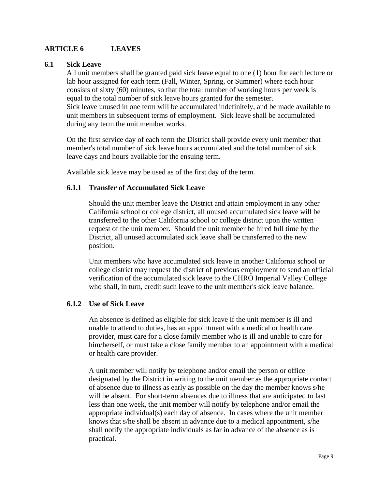#### **ARTICLE 6 LEAVES**

#### **6.1 Sick Leave**

All unit members shall be granted paid sick leave equal to one (1) hour for each lecture or lab hour assigned for each term (Fall, Winter, Spring, or Summer) where each hour consists of sixty (60) minutes, so that the total number of working hours per week is equal to the total number of sick leave hours granted for the semester. Sick leave unused in one term will be accumulated indefinitely, and be made available to unit members in subsequent terms of employment. Sick leave shall be accumulated during any term the unit member works.

On the first service day of each term the District shall provide every unit member that member's total number of sick leave hours accumulated and the total number of sick leave days and hours available for the ensuing term.

Available sick leave may be used as of the first day of the term.

#### **6.1.1 Transfer of Accumulated Sick Leave**

Should the unit member leave the District and attain employment in any other California school or college district, all unused accumulated sick leave will be transferred to the other California school or college district upon the written request of the unit member. Should the unit member be hired full time by the District, all unused accumulated sick leave shall be transferred to the new position.

Unit members who have accumulated sick leave in another California school or college district may request the district of previous employment to send an official verification of the accumulated sick leave to the CHRO Imperial Valley College who shall, in turn, credit such leave to the unit member's sick leave balance.

#### **6.1.2 Use of Sick Leave**

An absence is defined as eligible for sick leave if the unit member is ill and unable to attend to duties, has an appointment with a medical or health care provider, must care for a close family member who is ill and unable to care for him/herself, or must take a close family member to an appointment with a medical or health care provider.

A unit member will notify by telephone and/or email the person or office designated by the District in writing to the unit member as the appropriate contact of absence due to illness as early as possible on the day the member knows s/he will be absent. For short-term absences due to illness that are anticipated to last less than one week, the unit member will notify by telephone and/or email the appropriate individual(s) each day of absence. In cases where the unit member knows that s/he shall be absent in advance due to a medical appointment, s/he shall notify the appropriate individuals as far in advance of the absence as is practical.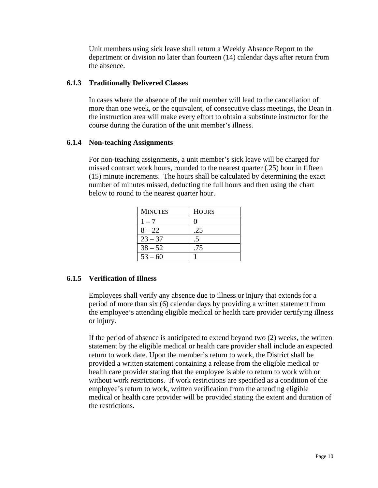Unit members using sick leave shall return a Weekly Absence Report to the department or division no later than fourteen (14) calendar days after return from the absence.

#### **6.1.3 Traditionally Delivered Classes**

In cases where the absence of the unit member will lead to the cancellation of more than one week, or the equivalent, of consecutive class meetings, the Dean in the instruction area will make every effort to obtain a substitute instructor for the course during the duration of the unit member's illness.

#### **6.1.4 Non-teaching Assignments**

For non-teaching assignments, a unit member's sick leave will be charged for missed contract work hours, rounded to the nearest quarter (.25) hour in fifteen (15) minute increments. The hours shall be calculated by determining the exact number of minutes missed, deducting the full hours and then using the chart below to round to the nearest quarter hour.

| <b>MINUTES</b> | <b>HOURS</b> |
|----------------|--------------|
| $1 - 7$        |              |
| $8 - 22$       | .25          |
| $23 - 37$      |              |
| $38 - 52$      | .75          |
| $53 - 60$      |              |

#### **6.1.5 Verification of Illness**

Employees shall verify any absence due to illness or injury that extends for a period of more than six (6) calendar days by providing a written statement from the employee's attending eligible medical or health care provider certifying illness or injury.

If the period of absence is anticipated to extend beyond two (2) weeks, the written statement by the eligible medical or health care provider shall include an expected return to work date. Upon the member's return to work, the District shall be provided a written statement containing a release from the eligible medical or health care provider stating that the employee is able to return to work with or without work restrictions. If work restrictions are specified as a condition of the employee's return to work, written verification from the attending eligible medical or health care provider will be provided stating the extent and duration of the restrictions.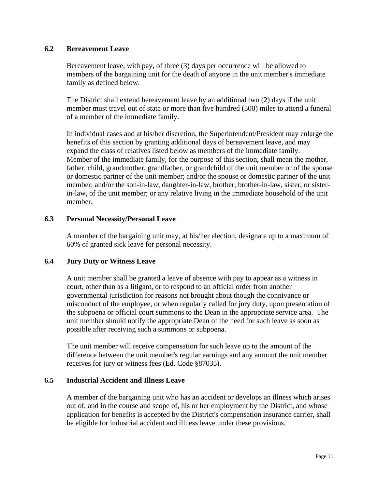#### **6.2 Bereavement Leave**

Bereavement leave, with pay, of three (3) days per occurrence will be allowed to members of the bargaining unit for the death of anyone in the unit member's immediate family as defined below.

The District shall extend bereavement leave by an additional two (2) days if the unit member must travel out of state or more than five hundred (500) miles to attend a funeral of a member of the immediate family.

In individual cases and at his/her discretion, the Superintendent/President may enlarge the benefits of this section by granting additional days of bereavement leave, and may expand the class of relatives listed below as members of the immediate family. Member of the immediate family, for the purpose of this section, shall mean the mother, father, child, grandmother, grandfather, or grandchild of the unit member or of the spouse or domestic partner of the unit member; and/or the spouse or domestic partner of the unit member; and/or the son-in-law, daughter-in-law, brother, brother-in-law, sister, or sisterin-law, of the unit member; or any relative living in the immediate household of the unit member.

#### **6.3 Personal Necessity/Personal Leave**

A member of the bargaining unit may, at his/her election, designate up to a maximum of 60% of granted sick leave for personal necessity.

#### **6.4 Jury Duty or Witness Leave**

A unit member shall be granted a leave of absence with pay to appear as a witness in court, other than as a litigant, or to respond to an official order from another governmental jurisdiction for reasons not brought about though the connivance or misconduct of the employee, or when regularly called for jury duty, upon presentation of the subpoena or official court summons to the Dean in the appropriate service area. The unit member should notify the appropriate Dean of the need for such leave as soon as possible after receiving such a summons or subpoena.

The unit member will receive compensation for such leave up to the amount of the difference between the unit member's regular earnings and any amount the unit member receives for jury or witness fees (Ed. Code §87035).

#### **6.5 Industrial Accident and Illness Leave**

A member of the bargaining unit who has an accident or develops an illness which arises out of, and in the course and scope of, his or her employment by the District, and whose application for benefits is accepted by the District's compensation insurance carrier, shall be eligible for industrial accident and illness leave under these provisions.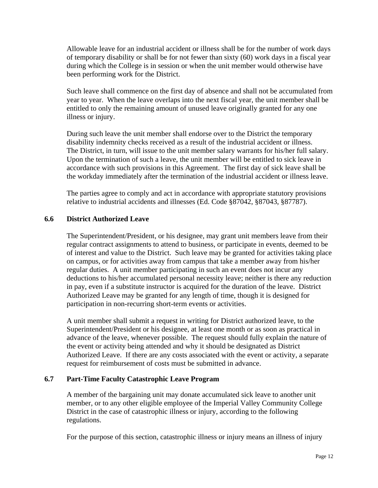Allowable leave for an industrial accident or illness shall be for the number of work days of temporary disability or shall be for not fewer than sixty (60) work days in a fiscal year during which the College is in session or when the unit member would otherwise have been performing work for the District.

Such leave shall commence on the first day of absence and shall not be accumulated from year to year. When the leave overlaps into the next fiscal year, the unit member shall be entitled to only the remaining amount of unused leave originally granted for any one illness or injury.

During such leave the unit member shall endorse over to the District the temporary disability indemnity checks received as a result of the industrial accident or illness. The District, in turn, will issue to the unit member salary warrants for his/her full salary. Upon the termination of such a leave, the unit member will be entitled to sick leave in accordance with such provisions in this Agreement. The first day of sick leave shall be the workday immediately after the termination of the industrial accident or illness leave.

The parties agree to comply and act in accordance with appropriate statutory provisions relative to industrial accidents and illnesses (Ed. Code §87042, §87043, §87787).

#### **6.6 District Authorized Leave**

The Superintendent/President, or his designee, may grant unit members leave from their regular contract assignments to attend to business, or participate in events, deemed to be of interest and value to the District. Such leave may be granted for activities taking place on campus, or for activities away from campus that take a member away from his/her regular duties. A unit member participating in such an event does not incur any deductions to his/her accumulated personal necessity leave; neither is there any reduction in pay, even if a substitute instructor is acquired for the duration of the leave. District Authorized Leave may be granted for any length of time, though it is designed for participation in non-recurring short-term events or activities.

A unit member shall submit a request in writing for District authorized leave, to the Superintendent/President or his designee, at least one month or as soon as practical in advance of the leave, whenever possible. The request should fully explain the nature of the event or activity being attended and why it should be designated as District Authorized Leave. If there are any costs associated with the event or activity, a separate request for reimbursement of costs must be submitted in advance.

#### **6.7 Part-Time Faculty Catastrophic Leave Program**

A member of the bargaining unit may donate accumulated sick leave to another unit member, or to any other eligible employee of the Imperial Valley Community College District in the case of catastrophic illness or injury, according to the following regulations.

For the purpose of this section, catastrophic illness or injury means an illness of injury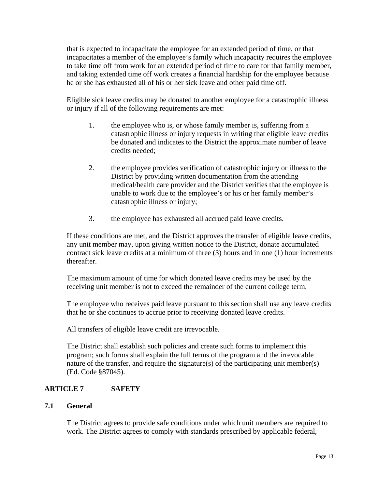that is expected to incapacitate the employee for an extended period of time, or that incapacitates a member of the employee's family which incapacity requires the employee to take time off from work for an extended period of time to care for that family member, and taking extended time off work creates a financial hardship for the employee because he or she has exhausted all of his or her sick leave and other paid time off.

Eligible sick leave credits may be donated to another employee for a catastrophic illness or injury if all of the following requirements are met:

- 1. the employee who is, or whose family member is, suffering from a catastrophic illness or injury requests in writing that eligible leave credits be donated and indicates to the District the approximate number of leave credits needed;
- 2. the employee provides verification of catastrophic injury or illness to the District by providing written documentation from the attending medical/health care provider and the District verifies that the employee is unable to work due to the employee's or his or her family member's catastrophic illness or injury;
- 3. the employee has exhausted all accrued paid leave credits.

If these conditions are met, and the District approves the transfer of eligible leave credits, any unit member may, upon giving written notice to the District, donate accumulated contract sick leave credits at a minimum of three (3) hours and in one (1) hour increments thereafter.

The maximum amount of time for which donated leave credits may be used by the receiving unit member is not to exceed the remainder of the current college term.

The employee who receives paid leave pursuant to this section shall use any leave credits that he or she continues to accrue prior to receiving donated leave credits.

All transfers of eligible leave credit are irrevocable.

The District shall establish such policies and create such forms to implement this program; such forms shall explain the full terms of the program and the irrevocable nature of the transfer, and require the signature(s) of the participating unit member(s) (Ed. Code §87045).

#### **ARTICLE 7 SAFETY**

#### **7.1 General**

The District agrees to provide safe conditions under which unit members are required to work. The District agrees to comply with standards prescribed by applicable federal,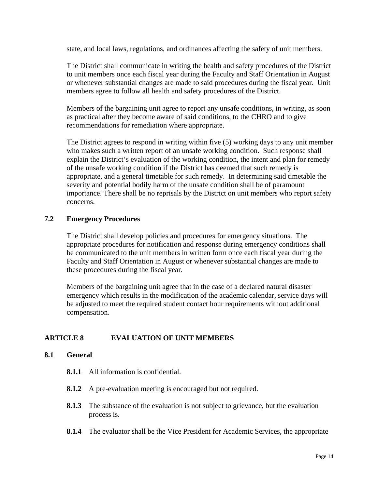state, and local laws, regulations, and ordinances affecting the safety of unit members.

The District shall communicate in writing the health and safety procedures of the District to unit members once each fiscal year during the Faculty and Staff Orientation in August or whenever substantial changes are made to said procedures during the fiscal year. Unit members agree to follow all health and safety procedures of the District.

Members of the bargaining unit agree to report any unsafe conditions, in writing, as soon as practical after they become aware of said conditions, to the CHRO and to give recommendations for remediation where appropriate.

The District agrees to respond in writing within five (5) working days to any unit member who makes such a written report of an unsafe working condition. Such response shall explain the District's evaluation of the working condition, the intent and plan for remedy of the unsafe working condition if the District has deemed that such remedy is appropriate, and a general timetable for such remedy. In determining said timetable the severity and potential bodily harm of the unsafe condition shall be of paramount importance. There shall be no reprisals by the District on unit members who report safety concerns.

#### **7.2 Emergency Procedures**

The District shall develop policies and procedures for emergency situations. The appropriate procedures for notification and response during emergency conditions shall be communicated to the unit members in written form once each fiscal year during the Faculty and Staff Orientation in August or whenever substantial changes are made to these procedures during the fiscal year.

Members of the bargaining unit agree that in the case of a declared natural disaster emergency which results in the modification of the academic calendar, service days will be adjusted to meet the required student contact hour requirements without additional compensation.

#### **ARTICLE 8 EVALUATION OF UNIT MEMBERS**

#### **8.1 General**

- **8.1.1** All information is confidential.
- **8.1.2** A pre-evaluation meeting is encouraged but not required.
- **8.1.3** The substance of the evaluation is not subject to grievance, but the evaluation process is.
- **8.1.4** The evaluator shall be the Vice President for Academic Services, the appropriate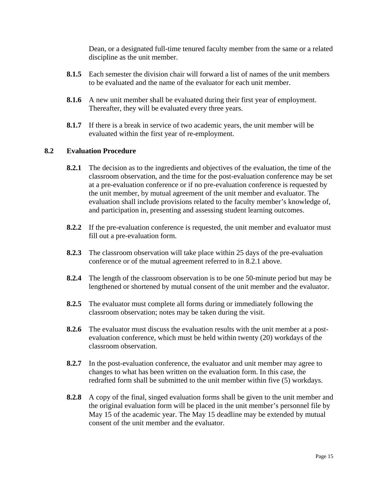Dean, or a designated full-time tenured faculty member from the same or a related discipline as the unit member.

- **8.1.5** Each semester the division chair will forward a list of names of the unit members to be evaluated and the name of the evaluator for each unit member.
- **8.1.6** A new unit member shall be evaluated during their first year of employment. Thereafter, they will be evaluated every three years.
- **8.1.7** If there is a break in service of two academic years, the unit member will be evaluated within the first year of re-employment.

#### **8.2 Evaluation Procedure**

- **8.2.1** The decision as to the ingredients and objectives of the evaluation, the time of the classroom observation, and the time for the post-evaluation conference may be set at a pre-evaluation conference or if no pre-evaluation conference is requested by the unit member, by mutual agreement of the unit member and evaluator. The evaluation shall include provisions related to the faculty member's knowledge of, and participation in, presenting and assessing student learning outcomes.
- **8.2.2** If the pre-evaluation conference is requested, the unit member and evaluator must fill out a pre-evaluation form.
- **8.2.3** The classroom observation will take place within 25 days of the pre-evaluation conference or of the mutual agreement referred to in 8.2.1 above.
- **8.2.4** The length of the classroom observation is to be one 50-minute period but may be lengthened or shortened by mutual consent of the unit member and the evaluator.
- **8.2.5** The evaluator must complete all forms during or immediately following the classroom observation; notes may be taken during the visit.
- **8.2.6** The evaluator must discuss the evaluation results with the unit member at a postevaluation conference, which must be held within twenty (20) workdays of the classroom observation.
- **8.2.7** In the post-evaluation conference, the evaluator and unit member may agree to changes to what has been written on the evaluation form. In this case, the redrafted form shall be submitted to the unit member within five (5) workdays.
- **8.2.8** A copy of the final, singed evaluation forms shall be given to the unit member and the original evaluation form will be placed in the unit member's personnel file by May 15 of the academic year. The May 15 deadline may be extended by mutual consent of the unit member and the evaluator.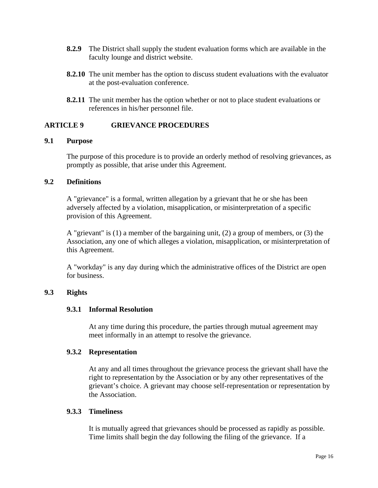- **8.2.9** The District shall supply the student evaluation forms which are available in the faculty lounge and district website.
- **8.2.10** The unit member has the option to discuss student evaluations with the evaluator at the post-evaluation conference.
- **8.2.11** The unit member has the option whether or not to place student evaluations or references in his/her personnel file.

#### **ARTICLE 9 GRIEVANCE PROCEDURES**

#### **9.1 Purpose**

The purpose of this procedure is to provide an orderly method of resolving grievances, as promptly as possible, that arise under this Agreement.

#### **9.2 Definitions**

A "grievance" is a formal, written allegation by a grievant that he or she has been adversely affected by a violation, misapplication, or misinterpretation of a specific provision of this Agreement.

A "grievant" is (1) a member of the bargaining unit, (2) a group of members, or (3) the Association, any one of which alleges a violation, misapplication, or misinterpretation of this Agreement.

A "workday" is any day during which the administrative offices of the District are open for business.

#### **9.3 Rights**

#### **9.3.1 Informal Resolution**

At any time during this procedure, the parties through mutual agreement may meet informally in an attempt to resolve the grievance.

#### **9.3.2 Representation**

At any and all times throughout the grievance process the grievant shall have the right to representation by the Association or by any other representatives of the grievant's choice. A grievant may choose self-representation or representation by the Association.

#### **9.3.3 Timeliness**

It is mutually agreed that grievances should be processed as rapidly as possible. Time limits shall begin the day following the filing of the grievance. If a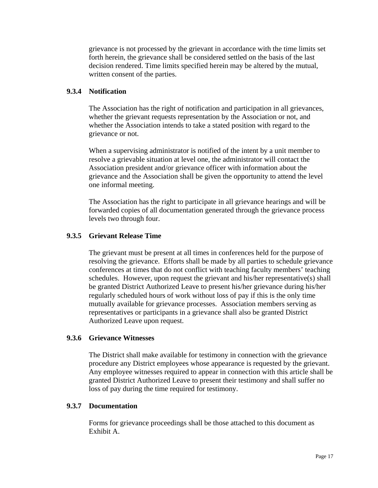grievance is not processed by the grievant in accordance with the time limits set forth herein, the grievance shall be considered settled on the basis of the last decision rendered. Time limits specified herein may be altered by the mutual, written consent of the parties.

#### **9.3.4 Notification**

The Association has the right of notification and participation in all grievances, whether the grievant requests representation by the Association or not, and whether the Association intends to take a stated position with regard to the grievance or not.

When a supervising administrator is notified of the intent by a unit member to resolve a grievable situation at level one, the administrator will contact the Association president and/or grievance officer with information about the grievance and the Association shall be given the opportunity to attend the level one informal meeting.

The Association has the right to participate in all grievance hearings and will be forwarded copies of all documentation generated through the grievance process levels two through four.

#### **9.3.5 Grievant Release Time**

The grievant must be present at all times in conferences held for the purpose of resolving the grievance. Efforts shall be made by all parties to schedule grievance conferences at times that do not conflict with teaching faculty members' teaching schedules. However, upon request the grievant and his/her representative(s) shall be granted District Authorized Leave to present his/her grievance during his/her regularly scheduled hours of work without loss of pay if this is the only time mutually available for grievance processes. Association members serving as representatives or participants in a grievance shall also be granted District Authorized Leave upon request.

#### **9.3.6 Grievance Witnesses**

The District shall make available for testimony in connection with the grievance procedure any District employees whose appearance is requested by the grievant. Any employee witnesses required to appear in connection with this article shall be granted District Authorized Leave to present their testimony and shall suffer no loss of pay during the time required for testimony.

#### **9.3.7 Documentation**

Forms for grievance proceedings shall be those attached to this document as Exhibit A.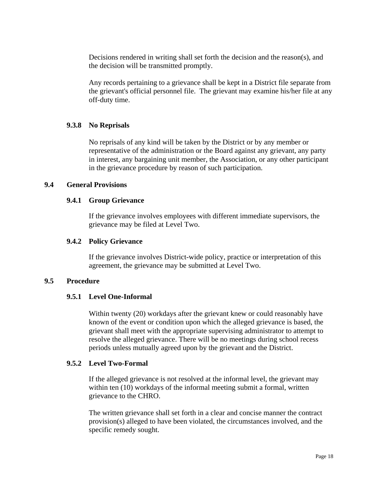Decisions rendered in writing shall set forth the decision and the reason(s), and the decision will be transmitted promptly.

Any records pertaining to a grievance shall be kept in a District file separate from the grievant's official personnel file. The grievant may examine his/her file at any off-duty time.

#### **9.3.8 No Reprisals**

No reprisals of any kind will be taken by the District or by any member or representative of the administration or the Board against any grievant, any party in interest, any bargaining unit member, the Association, or any other participant in the grievance procedure by reason of such participation.

#### **9.4 General Provisions**

#### **9.4.1 Group Grievance**

If the grievance involves employees with different immediate supervisors, the grievance may be filed at Level Two.

#### **9.4.2 Policy Grievance**

If the grievance involves District-wide policy, practice or interpretation of this agreement, the grievance may be submitted at Level Two.

#### **9.5 Procedure**

#### **9.5.1 Level One-Informal**

Within twenty (20) workdays after the grievant knew or could reasonably have known of the event or condition upon which the alleged grievance is based, the grievant shall meet with the appropriate supervising administrator to attempt to resolve the alleged grievance. There will be no meetings during school recess periods unless mutually agreed upon by the grievant and the District.

#### **9.5.2 Level Two-Formal**

If the alleged grievance is not resolved at the informal level, the grievant may within ten (10) workdays of the informal meeting submit a formal, written grievance to the CHRO.

The written grievance shall set forth in a clear and concise manner the contract provision(s) alleged to have been violated, the circumstances involved, and the specific remedy sought.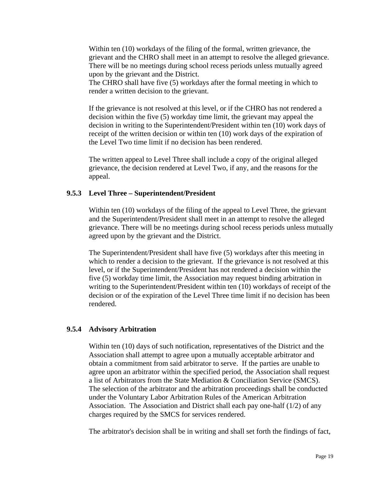Within ten (10) workdays of the filing of the formal, written grievance, the grievant and the CHRO shall meet in an attempt to resolve the alleged grievance. There will be no meetings during school recess periods unless mutually agreed upon by the grievant and the District.

The CHRO shall have five (5) workdays after the formal meeting in which to render a written decision to the grievant.

If the grievance is not resolved at this level, or if the CHRO has not rendered a decision within the five (5) workday time limit, the grievant may appeal the decision in writing to the Superintendent/President within ten (10) work days of receipt of the written decision or within ten (10) work days of the expiration of the Level Two time limit if no decision has been rendered.

The written appeal to Level Three shall include a copy of the original alleged grievance, the decision rendered at Level Two, if any, and the reasons for the appeal.

#### **9.5.3 Level Three – Superintendent/President**

Within ten (10) workdays of the filing of the appeal to Level Three, the grievant and the Superintendent/President shall meet in an attempt to resolve the alleged grievance. There will be no meetings during school recess periods unless mutually agreed upon by the grievant and the District.

The Superintendent/President shall have five (5) workdays after this meeting in which to render a decision to the grievant. If the grievance is not resolved at this level, or if the Superintendent/President has not rendered a decision within the five (5) workday time limit, the Association may request binding arbitration in writing to the Superintendent/President within ten (10) workdays of receipt of the decision or of the expiration of the Level Three time limit if no decision has been rendered.

#### **9.5.4 Advisory Arbitration**

Within ten (10) days of such notification, representatives of the District and the Association shall attempt to agree upon a mutually acceptable arbitrator and obtain a commitment from said arbitrator to serve. If the parties are unable to agree upon an arbitrator within the specified period, the Association shall request a list of Arbitrators from the State Mediation & Conciliation Service (SMCS). The selection of the arbitrator and the arbitration proceedings shall be conducted under the Voluntary Labor Arbitration Rules of the American Arbitration Association. The Association and District shall each pay one-half (1/2) of any charges required by the SMCS for services rendered.

The arbitrator's decision shall be in writing and shall set forth the findings of fact,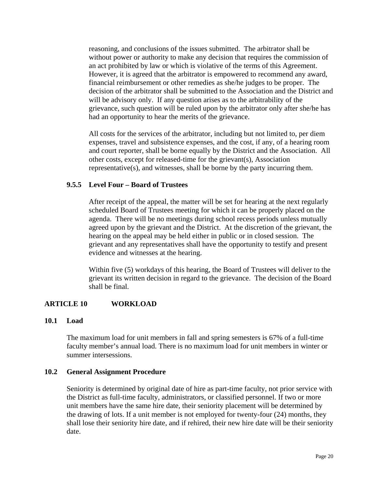reasoning, and conclusions of the issues submitted. The arbitrator shall be without power or authority to make any decision that requires the commission of an act prohibited by law or which is violative of the terms of this Agreement. However, it is agreed that the arbitrator is empowered to recommend any award, financial reimbursement or other remedies as she/he judges to be proper. The decision of the arbitrator shall be submitted to the Association and the District and will be advisory only. If any question arises as to the arbitrability of the grievance, such question will be ruled upon by the arbitrator only after she/he has had an opportunity to hear the merits of the grievance.

All costs for the services of the arbitrator, including but not limited to, per diem expenses, travel and subsistence expenses, and the cost, if any, of a hearing room and court reporter, shall be borne equally by the District and the Association. All other costs, except for released-time for the grievant(s), Association representative(s), and witnesses, shall be borne by the party incurring them.

#### **9.5.5 Level Four – Board of Trustees**

After receipt of the appeal, the matter will be set for hearing at the next regularly scheduled Board of Trustees meeting for which it can be properly placed on the agenda. There will be no meetings during school recess periods unless mutually agreed upon by the grievant and the District. At the discretion of the grievant, the hearing on the appeal may be held either in public or in closed session. The grievant and any representatives shall have the opportunity to testify and present evidence and witnesses at the hearing.

Within five (5) workdays of this hearing, the Board of Trustees will deliver to the grievant its written decision in regard to the grievance. The decision of the Board shall be final.

#### **ARTICLE 10 WORKLOAD**

#### **10.1 Load**

The maximum load for unit members in fall and spring semesters is 67% of a full-time faculty member's annual load. There is no maximum load for unit members in winter or summer intersessions.

#### **10.2 General Assignment Procedure**

Seniority is determined by original date of hire as part-time faculty, not prior service with the District as full-time faculty, administrators, or classified personnel. If two or more unit members have the same hire date, their seniority placement will be determined by the drawing of lots. If a unit member is not employed for twenty-four (24) months, they shall lose their seniority hire date, and if rehired, their new hire date will be their seniority date.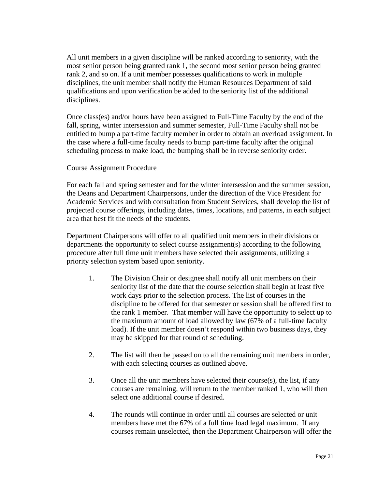All unit members in a given discipline will be ranked according to seniority, with the most senior person being granted rank 1, the second most senior person being granted rank 2, and so on. If a unit member possesses qualifications to work in multiple disciplines, the unit member shall notify the Human Resources Department of said qualifications and upon verification be added to the seniority list of the additional disciplines.

Once class(es) and/or hours have been assigned to Full-Time Faculty by the end of the fall, spring, winter intersession and summer semester, Full-Time Faculty shall not be entitled to bump a part-time faculty member in order to obtain an overload assignment. In the case where a full-time faculty needs to bump part-time faculty after the original scheduling process to make load, the bumping shall be in reverse seniority order.

#### Course Assignment Procedure

For each fall and spring semester and for the winter intersession and the summer session, the Deans and Department Chairpersons, under the direction of the Vice President for Academic Services and with consultation from Student Services, shall develop the list of projected course offerings, including dates, times, locations, and patterns, in each subject area that best fit the needs of the students.

Department Chairpersons will offer to all qualified unit members in their divisions or departments the opportunity to select course assignment(s) according to the following procedure after full time unit members have selected their assignments, utilizing a priority selection system based upon seniority.

- 1. The Division Chair or designee shall notify all unit members on their seniority list of the date that the course selection shall begin at least five work days prior to the selection process. The list of courses in the discipline to be offered for that semester or session shall be offered first to the rank 1 member. That member will have the opportunity to select up to the maximum amount of load allowed by law (67% of a full-time faculty load). If the unit member doesn't respond within two business days, they may be skipped for that round of scheduling.
- 2. The list will then be passed on to all the remaining unit members in order, with each selecting courses as outlined above.
- 3. Once all the unit members have selected their course(s), the list, if any courses are remaining, will return to the member ranked 1, who will then select one additional course if desired.
- 4. The rounds will continue in order until all courses are selected or unit members have met the 67% of a full time load legal maximum. If any courses remain unselected, then the Department Chairperson will offer the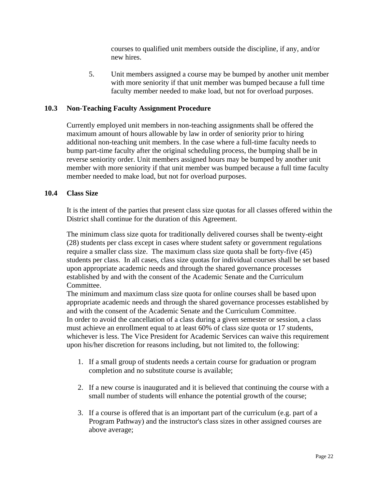courses to qualified unit members outside the discipline, if any, and/or new hires.

5. Unit members assigned a course may be bumped by another unit member with more seniority if that unit member was bumped because a full time faculty member needed to make load, but not for overload purposes.

#### **10.3 Non-Teaching Faculty Assignment Procedure**

Currently employed unit members in non-teaching assignments shall be offered the maximum amount of hours allowable by law in order of seniority prior to hiring additional non-teaching unit members. In the case where a full-time faculty needs to bump part-time faculty after the original scheduling process, the bumping shall be in reverse seniority order. Unit members assigned hours may be bumped by another unit member with more seniority if that unit member was bumped because a full time faculty member needed to make load, but not for overload purposes.

#### **10.4 Class Size**

It is the intent of the parties that present class size quotas for all classes offered within the District shall continue for the duration of this Agreement.

The minimum class size quota for traditionally delivered courses shall be twenty-eight (28) students per class except in cases where student safety or government regulations require a smaller class size. The maximum class size quota shall be forty-five (45) students per class. In all cases, class size quotas for individual courses shall be set based upon appropriate academic needs and through the shared governance processes established by and with the consent of the Academic Senate and the Curriculum Committee.

The minimum and maximum class size quota for online courses shall be based upon appropriate academic needs and through the shared governance processes established by and with the consent of the Academic Senate and the Curriculum Committee. In order to avoid the cancellation of a class during a given semester or session, a class must achieve an enrollment equal to at least 60% of class size quota or 17 students, whichever is less. The Vice President for Academic Services can waive this requirement upon his/her discretion for reasons including, but not limited to, the following:

- 1. If a small group of students needs a certain course for graduation or program completion and no substitute course is available;
- 2. If a new course is inaugurated and it is believed that continuing the course with a small number of students will enhance the potential growth of the course;
- 3. If a course is offered that is an important part of the curriculum (e.g. part of a Program Pathway) and the instructor's class sizes in other assigned courses are above average;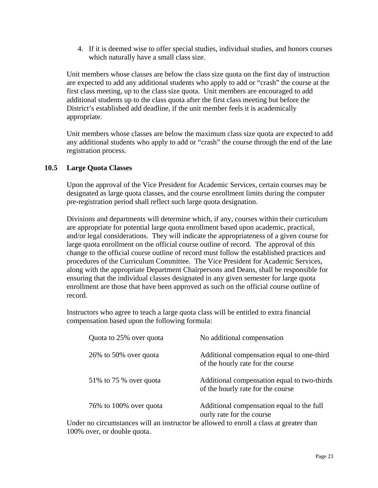4. If it is deemed wise to offer special studies, individual studies, and honors courses which naturally have a small class size.

Unit members whose classes are below the class size quota on the first day of instruction are expected to add any additional students who apply to add or "crash" the course at the first class meeting, up to the class size quota. Unit members are encouraged to add additional students up to the class quota after the first class meeting but before the District's established add deadline, if the unit member feels it is academically appropriate.

Unit members whose classes are below the maximum class size quota are expected to add any additional students who apply to add or "crash" the course through the end of the late registration process.

#### **10.5 Large Quota Classes**

Upon the approval of the Vice President for Academic Services, certain courses may be designated as large quota classes, and the course enrollment limits during the computer pre-registration period shall reflect such large quota designation.

Divisions and departments will determine which, if any, courses within their curriculum are appropriate for potential large quota enrollment based upon academic, practical, and/or legal considerations. They will indicate the appropriateness of a given course for large quota enrollment on the official course outline of record. The approval of this change to the official course outline of record must follow the established practices and procedures of the Curriculum Committee. The Vice President for Academic Services, along with the appropriate Department Chairpersons and Deans, shall be responsible for ensuring that the individual classes designated in any given semester for large quota enrollment are those that have been approved as such on the official course outline of record.

Instructors who agree to teach a large quota class will be entitled to extra financial compensation based upon the following formula:

| Quota to 25% over quota  | No additional compensation                                                       |
|--------------------------|----------------------------------------------------------------------------------|
| 26\% to 50\% over quota  | Additional compensation equal to one-third<br>of the hourly rate for the course  |
| 51\% to 75 \% over quota | Additional compensation equal to two-thirds<br>of the hourly rate for the course |
| 76% to 100% over quota   | Additional compensation equal to the full<br>ourly rate for the course           |

Under no circumstances will an instructor be allowed to enroll a class at greater than 100% over, or double quota.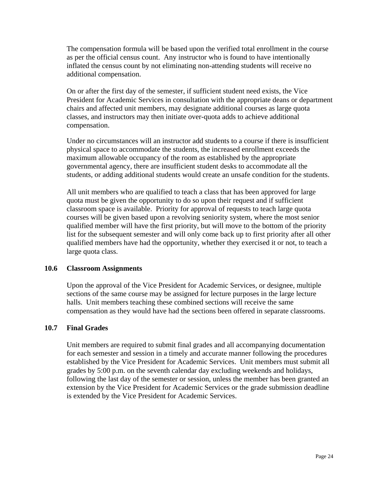The compensation formula will be based upon the verified total enrollment in the course as per the official census count. Any instructor who is found to have intentionally inflated the census count by not eliminating non-attending students will receive no additional compensation.

On or after the first day of the semester, if sufficient student need exists, the Vice President for Academic Services in consultation with the appropriate deans or department chairs and affected unit members, may designate additional courses as large quota classes, and instructors may then initiate over-quota adds to achieve additional compensation.

Under no circumstances will an instructor add students to a course if there is insufficient physical space to accommodate the students, the increased enrollment exceeds the maximum allowable occupancy of the room as established by the appropriate governmental agency, there are insufficient student desks to accommodate all the students, or adding additional students would create an unsafe condition for the students.

All unit members who are qualified to teach a class that has been approved for large quota must be given the opportunity to do so upon their request and if sufficient classroom space is available. Priority for approval of requests to teach large quota courses will be given based upon a revolving seniority system, where the most senior qualified member will have the first priority, but will move to the bottom of the priority list for the subsequent semester and will only come back up to first priority after all other qualified members have had the opportunity, whether they exercised it or not, to teach a large quota class.

#### **10.6 Classroom Assignments**

Upon the approval of the Vice President for Academic Services, or designee, multiple sections of the same course may be assigned for lecture purposes in the large lecture halls. Unit members teaching these combined sections will receive the same compensation as they would have had the sections been offered in separate classrooms.

#### **10.7 Final Grades**

Unit members are required to submit final grades and all accompanying documentation for each semester and session in a timely and accurate manner following the procedures established by the Vice President for Academic Services. Unit members must submit all grades by 5:00 p.m. on the seventh calendar day excluding weekends and holidays, following the last day of the semester or session, unless the member has been granted an extension by the Vice President for Academic Services or the grade submission deadline is extended by the Vice President for Academic Services.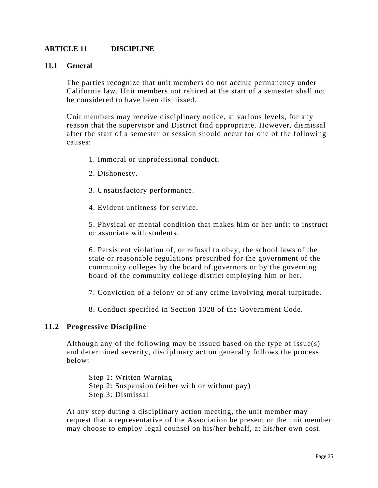#### **ARTICLE 11 DISCIPLINE**

#### **11.1 General**

The parties recognize that unit members do not accrue permanency under California law. Unit members not rehired at the start of a semester shall not be considered to have been dismissed.

Unit members may receive disciplinary notice, at various levels, for any reason that the supervisor and District find appropriate. However, dismissal after the start of a semester or session should occur for one of the following causes:

- 1. Immoral or unprofessional conduct.
- 2. Dishonesty.
- 3. Unsatisfactory performance.
- 4. Evident unfitness for service.

5. Physical or mental condition that makes him or her unfit to instruct or associate with students.

6. Persistent violation of, or refusal to obey, the school laws of the state or reasonable regulations prescribed for the government of the community colleges by the board of governors or by the governing board of the community college district employing him or her.

7. Conviction of a felony or of any crime involving moral turpitude.

8. Conduct specified in Section 1028 of the Government Code.

#### **11.2 Progressive Discipline**

Although any of the following may be issued based on the type of issue(s) and determined severity, disciplinary action generally follows the process below:

Step 1: Written Warning Step 2: Suspension (either with or without pay) Step 3: Dismissal

At any step during a disciplinary action meeting, the unit member may request that a representative of the Association be present or the unit member may choose to employ legal counsel on his/her behalf, at his/her own cost.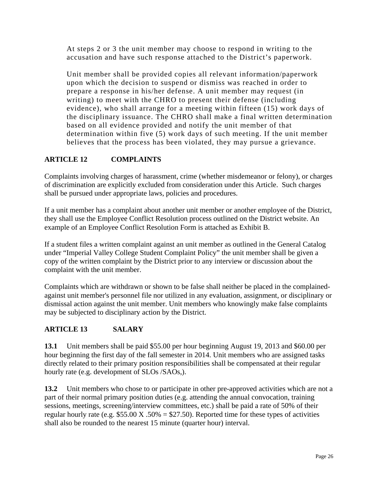At steps 2 or 3 the unit member may choose to respond in writing to the accusation and have such response attached to the District's paperwork.

Unit member shall be provided copies all relevant information/paperwork upon which the decision to suspend or dismiss was reached in order to prepare a response in his/her defense. A unit member may request (in writing) to meet with the CHRO to present their defense (including evidence), who shall arrange for a meeting within fifteen (15) work days of the disciplinary issuance. The CHRO shall make a final written determination based on all evidence provided and notify the unit member of that determination within five (5) work days of such meeting. If the unit member believes that the process has been violated, they may pursue a grievance.

### **ARTICLE 12 COMPLAINTS**

Complaints involving charges of harassment, crime (whether misdemeanor or felony), or charges of discrimination are explicitly excluded from consideration under this Article. Such charges shall be pursued under appropriate laws, policies and procedures.

If a unit member has a complaint about another unit member or another employee of the District, they shall use the Employee Conflict Resolution process outlined on the District website. An example of an Employee Conflict Resolution Form is attached as Exhibit B.

If a student files a written complaint against an unit member as outlined in the General Catalog under "Imperial Valley College Student Complaint Policy" the unit member shall be given a copy of the written complaint by the District prior to any interview or discussion about the complaint with the unit member.

Complaints which are withdrawn or shown to be false shall neither be placed in the complainedagainst unit member's personnel file nor utilized in any evaluation, assignment, or disciplinary or dismissal action against the unit member. Unit members who knowingly make false complaints may be subjected to disciplinary action by the District.

### **ARTICLE 13 SALARY**

**13.1** Unit members shall be paid \$55.00 per hour beginning August 19, 2013 and \$60.00 per hour beginning the first day of the fall semester in 2014. Unit members who are assigned tasks directly related to their primary position responsibilities shall be compensated at their regular hourly rate (e.g. development of SLOs /SAOs,).

**13.2** Unit members who chose to or participate in other pre-approved activities which are not a part of their normal primary position duties (e.g. attending the annual convocation, training sessions, meetings, screening/interview committees, etc.) shall be paid a rate of 50% of their regular hourly rate (e.g.  $$55.00 \text{ X}$ .  $50\% = $27.50$ ). Reported time for these types of activities shall also be rounded to the nearest 15 minute (quarter hour) interval.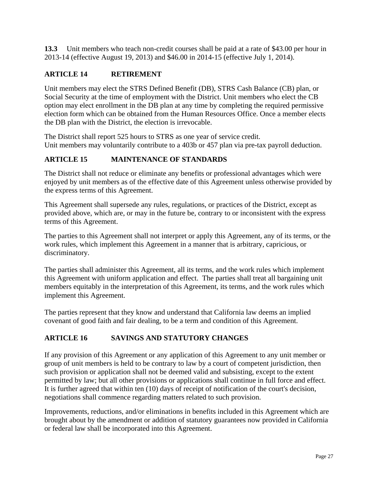**13.3** Unit members who teach non-credit courses shall be paid at a rate of \$43.00 per hour in 2013-14 (effective August 19, 2013) and \$46.00 in 2014-15 (effective July 1, 2014).

#### **ARTICLE 14 RETIREMENT**

Unit members may elect the STRS Defined Benefit (DB), STRS Cash Balance (CB) plan, or Social Security at the time of employment with the District. Unit members who elect the CB option may elect enrollment in the DB plan at any time by completing the required permissive election form which can be obtained from the Human Resources Office. Once a member elects the DB plan with the District, the election is irrevocable.

The District shall report 525 hours to STRS as one year of service credit. Unit members may voluntarily contribute to a 403b or 457 plan via pre-tax payroll deduction.

### **ARTICLE 15 MAINTENANCE OF STANDARDS**

The District shall not reduce or eliminate any benefits or professional advantages which were enjoyed by unit members as of the effective date of this Agreement unless otherwise provided by the express terms of this Agreement.

This Agreement shall supersede any rules, regulations, or practices of the District, except as provided above, which are, or may in the future be, contrary to or inconsistent with the express terms of this Agreement.

The parties to this Agreement shall not interpret or apply this Agreement, any of its terms, or the work rules, which implement this Agreement in a manner that is arbitrary, capricious, or discriminatory.

The parties shall administer this Agreement, all its terms, and the work rules which implement this Agreement with uniform application and effect. The parties shall treat all bargaining unit members equitably in the interpretation of this Agreement, its terms, and the work rules which implement this Agreement.

The parties represent that they know and understand that California law deems an implied covenant of good faith and fair dealing, to be a term and condition of this Agreement.

#### **ARTICLE 16 SAVINGS AND STATUTORY CHANGES**

If any provision of this Agreement or any application of this Agreement to any unit member or group of unit members is held to be contrary to law by a court of competent jurisdiction, then such provision or application shall not be deemed valid and subsisting, except to the extent permitted by law; but all other provisions or applications shall continue in full force and effect. It is further agreed that within ten (10) days of receipt of notification of the court's decision, negotiations shall commence regarding matters related to such provision.

Improvements, reductions, and/or eliminations in benefits included in this Agreement which are brought about by the amendment or addition of statutory guarantees now provided in California or federal law shall be incorporated into this Agreement.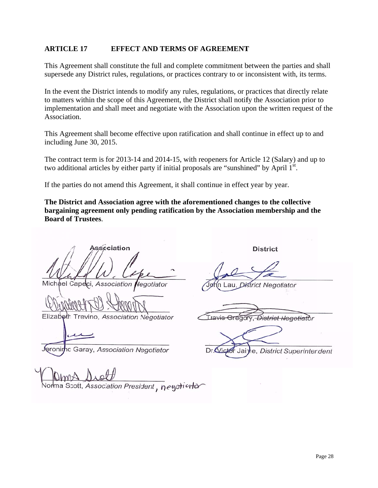#### **ARTICL LE 17 EFFECT AND TERMS OF AGREEMENT**

This Agreement shall constitute the full and complete commitment between the parties and shall supersede any District rules, regulations, or practices contrary to or inconsistent with, its terms.

In the event the District intends to modify any rules, regulations, or practices that directly relate to matters within the scope of this Agreement, the District shall notify the Association prior to implementation and shall meet and negotiate with the Association upon the written request of the Association.

This Agreement shall become effective upon ratification and shall continue in effect up to and including June 30, 2015.

The contract term is for 2013-14 and 2014-15, with reopeners for Article 12 (Salary) and up to two additional articles by either party if initial proposals are "sunshined" by April  $1<sup>st</sup>$ .

If the parties do not amend this Agreement, it shall continue in effect year by year.

The District and Association agree with the aforementioned changes to the collective **bargaining agreement only pending ratification by the Association membership and the Board of f Trustees**.

**Association** Michael Capeci Association Negotiator

Elizabeth Trevino, Association Negotiator

eronimo Garay, Association Negotiator

Scott, Association President, negotiator

**District** 

au District Negotiator

Travie District Negotiator

Dr Vict e, District Superintendent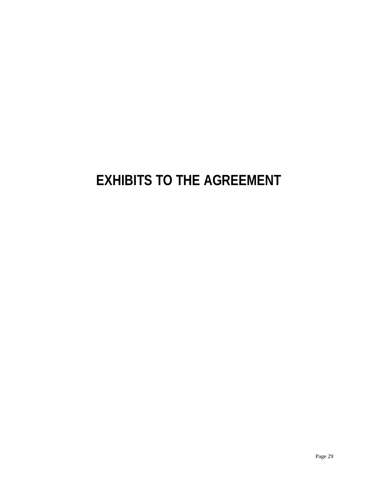# **EXHIBITS TO THE AGREEMENT**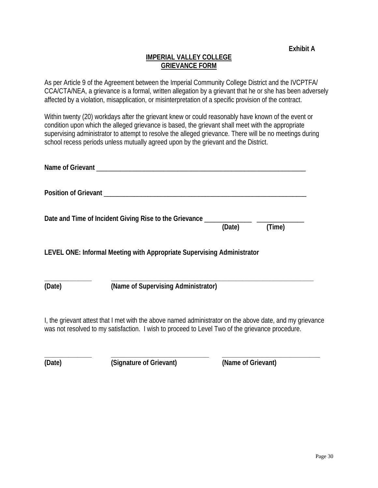#### **IMPERIAL VALLEY COLLEGE GRIEVANCE FORM**

As per Article 9 of the Agreement between the Imperial Community College District and the IVCPTFA/ CCA/CTA/NEA, a grievance is a formal, written allegation by a grievant that he or she has been adversely affected by a violation, misapplication, or misinterpretation of a specific provision of the contract.

Within twenty (20) workdays after the grievant knew or could reasonably have known of the event or condition upon which the alleged grievance is based, the grievant shall meet with the appropriate supervising administrator to attempt to resolve the alleged grievance. There will be no meetings during school recess periods unless mutually agreed upon by the grievant and the District.

| Name of Grievant |                                                                        |        |        |
|------------------|------------------------------------------------------------------------|--------|--------|
|                  |                                                                        |        |        |
|                  | Date and Time of Incident Giving Rise to the Grievance _______         | (Date) | (Time) |
|                  | LEVEL ONE: Informal Meeting with Appropriate Supervising Administrator |        |        |
| (Date)           | (Name of Supervising Administrator)                                    |        |        |

I, the grievant attest that I met with the above named administrator on the above date, and my grievance was not resolved to my satisfaction. I wish to proceed to Level Two of the grievance procedure.

**\_\_\_\_\_\_\_\_\_\_\_\_\_\_ \_\_\_\_\_\_\_\_\_\_\_\_\_\_\_\_\_\_\_\_\_\_\_\_\_\_\_\_\_ \_\_\_\_\_\_\_\_\_\_\_\_\_\_\_\_\_\_\_\_\_\_\_\_\_\_\_\_\_** 

**(Date) (Signature of Grievant) (Name of Grievant)**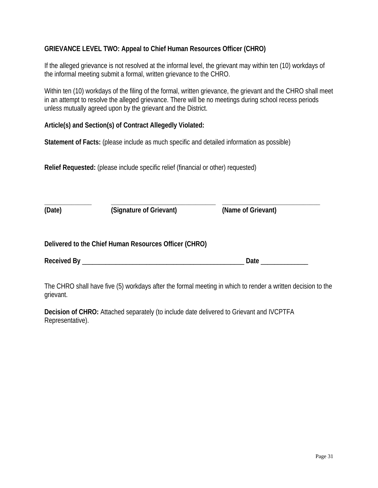#### **GRIEVANCE LEVEL TWO: Appeal to Chief Human Resources Officer (CHRO)**

If the alleged grievance is not resolved at the informal level, the grievant may within ten (10) workdays of the informal meeting submit a formal, written grievance to the CHRO.

Within ten (10) workdays of the filing of the formal, written grievance, the grievant and the CHRO shall meet in an attempt to resolve the alleged grievance. There will be no meetings during school recess periods unless mutually agreed upon by the grievant and the District.

#### **Article(s) and Section(s) of Contract Allegedly Violated:**

**Statement of Facts:** (please include as much specific and detailed information as possible)

**Relief Requested:** (please include specific relief (financial or other) requested)

| (Date) | (Signature of Grievant)                               | (Name of Grievant) |  |
|--------|-------------------------------------------------------|--------------------|--|
|        | Delivered to the Chief Human Resources Officer (CHRO) |                    |  |
|        |                                                       | Date               |  |

The CHRO shall have five (5) workdays after the formal meeting in which to render a written decision to the grievant.

**Decision of CHRO:** Attached separately (to include date delivered to Grievant and IVCPTFA Representative).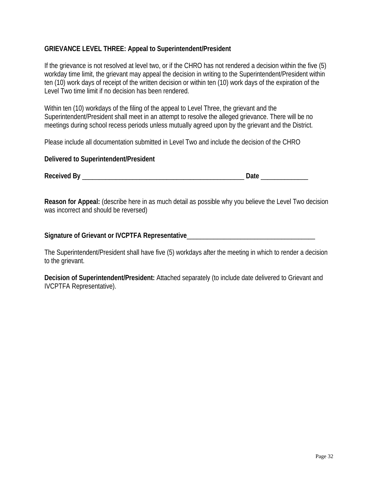#### **GRIEVANCE LEVEL THREE: Appeal to Superintendent/President**

If the grievance is not resolved at level two, or if the CHRO has not rendered a decision within the five (5) workday time limit, the grievant may appeal the decision in writing to the Superintendent/President within ten (10) work days of receipt of the written decision or within ten (10) work days of the expiration of the Level Two time limit if no decision has been rendered.

Within ten (10) workdays of the filing of the appeal to Level Three, the grievant and the Superintendent/President shall meet in an attempt to resolve the alleged grievance. There will be no meetings during school recess periods unless mutually agreed upon by the grievant and the District.

Please include all documentation submitted in Level Two and include the decision of the CHRO

#### **Delivered to Superintendent/President**

**Received By** \_\_\_\_\_\_\_\_\_\_\_\_\_\_\_\_\_\_\_\_\_\_\_\_\_\_\_\_\_\_\_\_\_\_\_\_\_\_\_\_\_\_\_\_\_\_\_\_ **Date** \_\_\_\_\_\_\_\_\_\_\_\_\_\_

**Reason for Appeal:** (describe here in as much detail as possible why you believe the Level Two decision was incorrect and should be reversed)

Signature of Grievant or IVCPTFA Representative\_\_\_\_\_\_\_\_\_\_\_\_\_\_\_\_\_\_\_\_\_\_\_\_\_\_\_\_\_\_\_\_\_\_

The Superintendent/President shall have five (5) workdays after the meeting in which to render a decision to the grievant.

**Decision of Superintendent/President:** Attached separately (to include date delivered to Grievant and IVCPTFA Representative).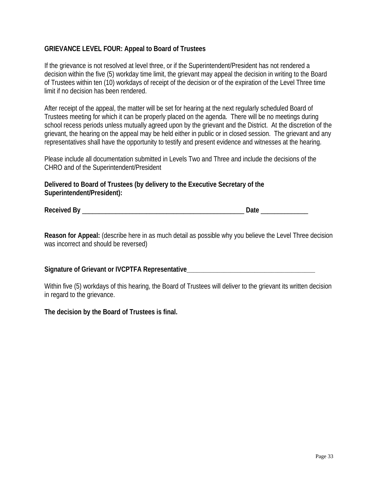#### **GRIEVANCE LEVEL FOUR: Appeal to Board of Trustees**

If the grievance is not resolved at level three, or if the Superintendent/President has not rendered a decision within the five (5) workday time limit, the grievant may appeal the decision in writing to the Board of Trustees within ten (10) workdays of receipt of the decision or of the expiration of the Level Three time limit if no decision has been rendered.

After receipt of the appeal, the matter will be set for hearing at the next regularly scheduled Board of Trustees meeting for which it can be properly placed on the agenda. There will be no meetings during school recess periods unless mutually agreed upon by the grievant and the District. At the discretion of the grievant, the hearing on the appeal may be held either in public or in closed session. The grievant and any representatives shall have the opportunity to testify and present evidence and witnesses at the hearing.

Please include all documentation submitted in Levels Two and Three and include the decisions of the CHRO and of the Superintendent/President

**Delivered to Board of Trustees (by delivery to the Executive Secretary of the Superintendent/President):** 

**Received By** \_\_\_\_\_\_\_\_\_\_\_\_\_\_\_\_\_\_\_\_\_\_\_\_\_\_\_\_\_\_\_\_\_\_\_\_\_\_\_\_\_\_\_\_\_\_\_\_ **Date** \_\_\_\_\_\_\_\_\_\_\_\_\_\_

**Reason for Appeal:** (describe here in as much detail as possible why you believe the Level Three decision was incorrect and should be reversed)

#### Signature of Grievant or IVCPTFA Representative

Within five (5) workdays of this hearing, the Board of Trustees will deliver to the grievant its written decision in regard to the grievance.

#### **The decision by the Board of Trustees is final.**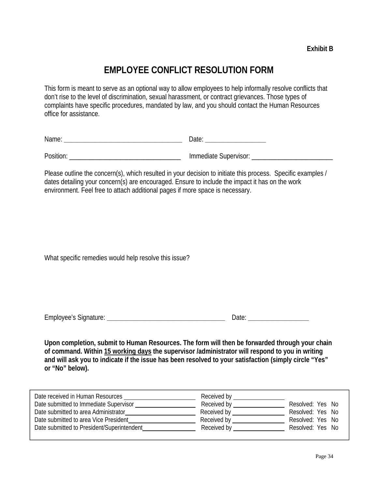### **EMPLOYEE CONFLICT RESOLUTION FORM**

This form is meant to serve as an optional way to allow employees to help informally resolve conflicts that don't rise to the level of discrimination, sexual harassment, or contract grievances. Those types of complaints have specific procedures, mandated by law, and you should contact the Human Resources office for assistance.

|  | ____ |
|--|------|
|--|------|

| Position: |  |
|-----------|--|
|-----------|--|

Position: \_\_\_\_\_\_\_\_\_\_\_\_\_\_\_\_\_\_\_\_\_\_\_\_\_\_\_\_\_\_\_\_\_ Immediate Supervisor: \_\_\_\_\_\_\_\_\_\_\_\_\_\_\_\_\_\_\_\_\_\_\_\_

Please outline the concern(s), which resulted in your decision to initiate this process. Specific examples / dates detailing your concern(s) are encouraged. Ensure to include the impact it has on the work environment. Feel free to attach additional pages if more space is necessary.

What specific remedies would help resolve this issue?

| $T_{\text{max}}$                |        |
|---------------------------------|--------|
| ∩1⊔rr<br>JVAA.<br>. ) I (<br>۱۱ |        |
| --<br>. U                       | $\sim$ |

**Upon completion, submit to Human Resources. The form will then be forwarded through your chain of command. Within 15 working days the supervisor /administrator will respond to you in writing and will ask you to indicate if the issue has been resolved to your satisfaction (simply circle "Yes" or "No" below).** 

| Date received in Human Resources           | Received by       |                  |
|--------------------------------------------|-------------------|------------------|
| Date submitted to Immediate Supervisor     | Received by       | Resolved: Yes No |
| Date submitted to area Administrator       | Received by _____ | Resolved: Yes No |
| Date submitted to area Vice President      | Received by       | Resolved: Yes No |
| Date submitted to President/Superintendent | Received by       | Resolved: Yes No |
|                                            |                   |                  |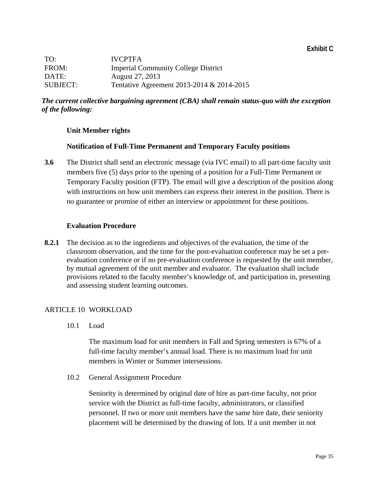| TO:             | <b>IVCPTFA</b>                             |
|-----------------|--------------------------------------------|
| FROM:           | <b>Imperial Community College District</b> |
| DATE:           | August 27, 2013                            |
| <b>SUBJECT:</b> | Tentative Agreement 2013-2014 & 2014-2015  |

#### *The current collective bargaining agreement (CBA) shall remain status-quo with the exception of the following:*

#### **Unit Member rights**

#### **Notification of Full-Time Permanent and Temporary Faculty positions**

**3.6** The District shall send an electronic message (via IVC email) to all part-time faculty unit members five (5) days prior to the opening of a position for a Full-Time Permanent or Temporary Faculty position (FTP). The email will give a description of the position along with instructions on how unit members can express their interest in the position. There is no guarantee or promise of either an interview or appointment for these positions.

#### **Evaluation Procedure**

**8.2.1** The decision as to the ingredients and objectives of the evaluation, the time of the classroom observation, and the time for the post-evaluation conference may be set a preevaluation conference or if no pre-evaluation conference is requested by the unit member, by mutual agreement of the unit member and evaluator. The evaluation shall include provisions related to the faculty member's knowledge of, and participation in, presenting and assessing student learning outcomes.

#### ARTICLE 10 WORKLOAD

10.1 Load

The maximum load for unit members in Fall and Spring semesters is 67% of a full-time faculty member's annual load. There is no maximum load for unit members in Winter or Summer intersessions.

10.2 General Assignment Procedure

Seniority is determined by original date of hire as part-time faculty, not prior service with the District as full-time faculty, administrators, or classified personnel. If two or more unit members have the same hire date, their seniority placement will be determined by the drawing of lots. If a unit member in not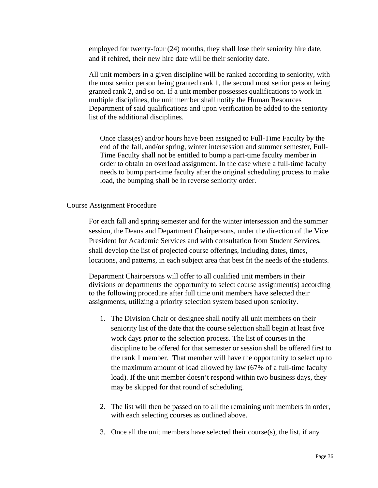employed for twenty-four (24) months, they shall lose their seniority hire date, and if rehired, their new hire date will be their seniority date.

All unit members in a given discipline will be ranked according to seniority, with the most senior person being granted rank 1, the second most senior person being granted rank 2, and so on. If a unit member possesses qualifications to work in multiple disciplines, the unit member shall notify the Human Resources Department of said qualifications and upon verification be added to the seniority list of the additional disciplines.

Once class(es) and/or hours have been assigned to Full-Time Faculty by the end of the fall, and/or spring, winter intersession and summer semester, Full-Time Faculty shall not be entitled to bump a part-time faculty member in order to obtain an overload assignment. In the case where a full-time faculty needs to bump part-time faculty after the original scheduling process to make load, the bumping shall be in reverse seniority order.

#### Course Assignment Procedure

For each fall and spring semester and for the winter intersession and the summer session, the Deans and Department Chairpersons, under the direction of the Vice President for Academic Services and with consultation from Student Services, shall develop the list of projected course offerings, including dates, times, locations, and patterns, in each subject area that best fit the needs of the students.

Department Chairpersons will offer to all qualified unit members in their divisions or departments the opportunity to select course assignment(s) according to the following procedure after full time unit members have selected their assignments, utilizing a priority selection system based upon seniority.

- 1. The Division Chair or designee shall notify all unit members on their seniority list of the date that the course selection shall begin at least five work days prior to the selection process. The list of courses in the discipline to be offered for that semester or session shall be offered first to the rank 1 member. That member will have the opportunity to select up to the maximum amount of load allowed by law (67% of a full-time faculty load). If the unit member doesn't respond within two business days, they may be skipped for that round of scheduling.
- 2. The list will then be passed on to all the remaining unit members in order, with each selecting courses as outlined above.
- 3. Once all the unit members have selected their course(s), the list, if any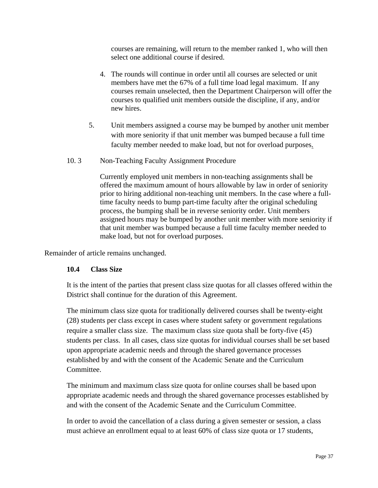courses are remaining, will return to the member ranked 1, who will then select one additional course if desired.

- 4. The rounds will continue in order until all courses are selected or unit members have met the 67% of a full time load legal maximum. If any courses remain unselected, then the Department Chairperson will offer the courses to qualified unit members outside the discipline, if any, and/or new hires.
- 5. Unit members assigned a course may be bumped by another unit member with more seniority if that unit member was bumped because a full time faculty member needed to make load, but not for overload purposes.
- 10. 3 Non-Teaching Faculty Assignment Procedure

Currently employed unit members in non-teaching assignments shall be offered the maximum amount of hours allowable by law in order of seniority prior to hiring additional non-teaching unit members. In the case where a fulltime faculty needs to bump part-time faculty after the original scheduling process, the bumping shall be in reverse seniority order. Unit members assigned hours may be bumped by another unit member with more seniority if that unit member was bumped because a full time faculty member needed to make load, but not for overload purposes.

Remainder of article remains unchanged.

#### **10.4 Class Size**

It is the intent of the parties that present class size quotas for all classes offered within the District shall continue for the duration of this Agreement.

The minimum class size quota for traditionally delivered courses shall be twenty-eight (28) students per class except in cases where student safety or government regulations require a smaller class size. The maximum class size quota shall be forty-five (45) students per class. In all cases, class size quotas for individual courses shall be set based upon appropriate academic needs and through the shared governance processes established by and with the consent of the Academic Senate and the Curriculum Committee.

The minimum and maximum class size quota for online courses shall be based upon appropriate academic needs and through the shared governance processes established by and with the consent of the Academic Senate and the Curriculum Committee.

In order to avoid the cancellation of a class during a given semester or session, a class must achieve an enrollment equal to at least 60% of class size quota or 17 students,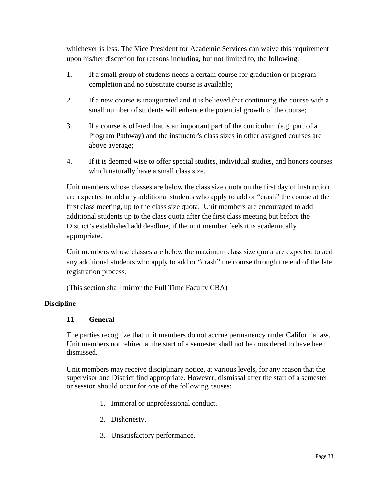whichever is less. The Vice President for Academic Services can waive this requirement upon his/her discretion for reasons including, but not limited to, the following:

- 1. If a small group of students needs a certain course for graduation or program completion and no substitute course is available;
- 2. If a new course is inaugurated and it is believed that continuing the course with a small number of students will enhance the potential growth of the course;
- 3. If a course is offered that is an important part of the curriculum (e.g. part of a Program Pathway) and the instructor's class sizes in other assigned courses are above average;
- 4. If it is deemed wise to offer special studies, individual studies, and honors courses which naturally have a small class size.

Unit members whose classes are below the class size quota on the first day of instruction are expected to add any additional students who apply to add or "crash" the course at the first class meeting, up to the class size quota. Unit members are encouraged to add additional students up to the class quota after the first class meeting but before the District's established add deadline, if the unit member feels it is academically appropriate.

Unit members whose classes are below the maximum class size quota are expected to add any additional students who apply to add or "crash" the course through the end of the late registration process.

#### (This section shall mirror the Full Time Faculty CBA)

#### **Discipline**

#### **11 General**

The parties recognize that unit members do not accrue permanency under California law. Unit members not rehired at the start of a semester shall not be considered to have been dismissed.

Unit members may receive disciplinary notice, at various levels, for any reason that the supervisor and District find appropriate. However, dismissal after the start of a semester or session should occur for one of the following causes:

- 1. Immoral or unprofessional conduct.
- 2. Dishonesty.
- 3. Unsatisfactory performance.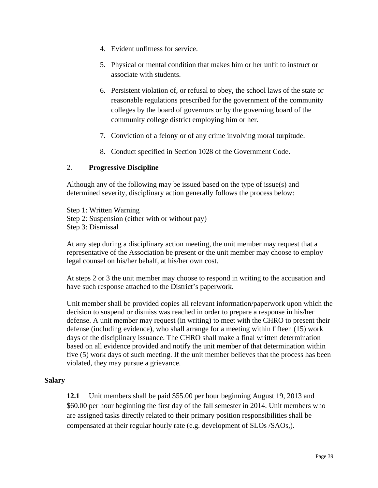- 4. Evident unfitness for service.
- 5. Physical or mental condition that makes him or her unfit to instruct or associate with students.
- 6. Persistent violation of, or refusal to obey, the school laws of the state or reasonable regulations prescribed for the government of the community colleges by the board of governors or by the governing board of the community college district employing him or her.
- 7. Conviction of a felony or of any crime involving moral turpitude.
- 8. Conduct specified in Section 1028 of the Government Code.

#### 2. **Progressive Discipline**

Although any of the following may be issued based on the type of issue(s) and determined severity, disciplinary action generally follows the process below:

Step 1: Written Warning Step 2: Suspension (either with or without pay) Step 3: Dismissal

At any step during a disciplinary action meeting, the unit member may request that a representative of the Association be present or the unit member may choose to employ legal counsel on his/her behalf, at his/her own cost.

At steps 2 or 3 the unit member may choose to respond in writing to the accusation and have such response attached to the District's paperwork.

Unit member shall be provided copies all relevant information/paperwork upon which the decision to suspend or dismiss was reached in order to prepare a response in his/her defense. A unit member may request (in writing) to meet with the CHRO to present their defense (including evidence), who shall arrange for a meeting within fifteen (15) work days of the disciplinary issuance. The CHRO shall make a final written determination based on all evidence provided and notify the unit member of that determination within five (5) work days of such meeting. If the unit member believes that the process has been violated, they may pursue a grievance.

#### **Salary**

**12.1** Unit members shall be paid \$55.00 per hour beginning August 19, 2013 and \$60.00 per hour beginning the first day of the fall semester in 2014. Unit members who are assigned tasks directly related to their primary position responsibilities shall be compensated at their regular hourly rate (e.g. development of SLOs /SAOs,).